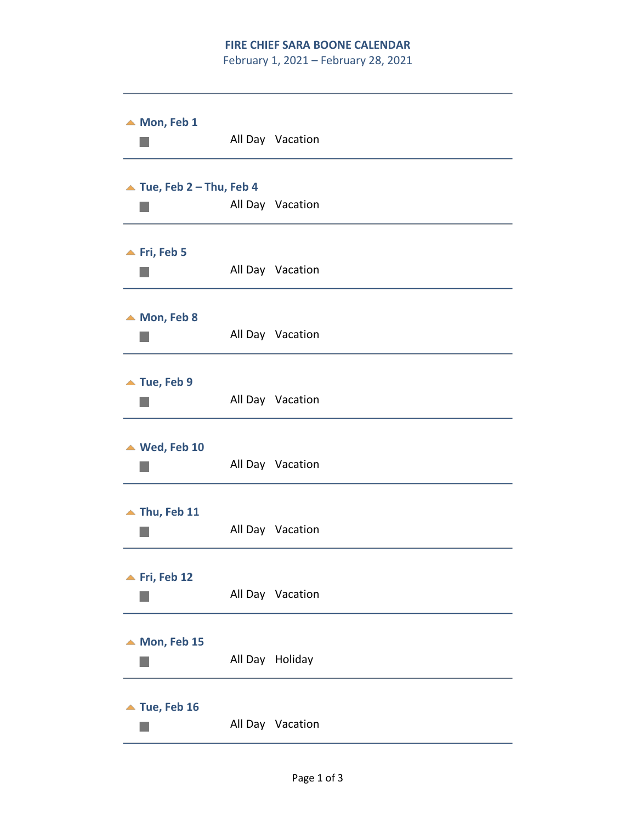## **FIRE CHIEF SARA BOONE CALENDAR**

February 1, 2021 – February 28, 2021

| $\blacktriangle$ Mon, Feb 1              | All Day Vacation |
|------------------------------------------|------------------|
| $\blacktriangle$ Tue, Feb 2 - Thu, Feb 4 | All Day Vacation |
| $\blacktriangle$ Fri, Feb 5              | All Day Vacation |
| $\triangle$ Mon, Feb 8                   | All Day Vacation |
| $\blacktriangle$ Tue, Feb 9              | All Day Vacation |
| $\triangle$ Wed, Feb 10                  | All Day Vacation |
| $\blacktriangle$ Thu, Feb 11             | All Day Vacation |
| $\blacktriangle$ Fri, Feb 12             | All Day Vacation |
| $\blacktriangle$ Mon, Feb 15             | All Day Holiday  |
| $\blacktriangle$ Tue, Feb 16             | All Day Vacation |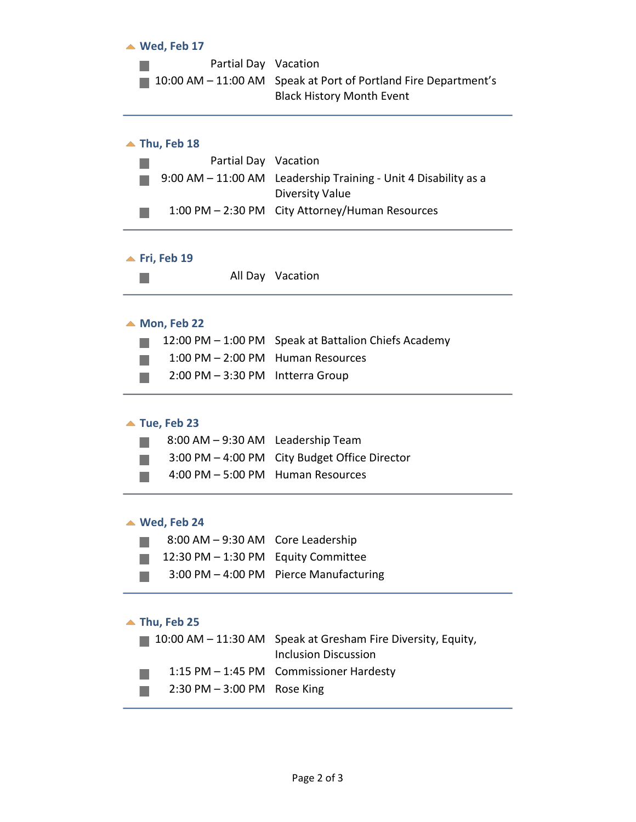| Partial Day Vacation<br>10:00 AM - 11:00 AM Speak at Port of Portland Fire Department's<br><b>Black History Month Event</b><br>$\blacktriangle$ Thu, Feb 18<br>Partial Day Vacation<br>9:00 AM - 11:00 AM Leadership Training - Unit 4 Disability as a |  |
|--------------------------------------------------------------------------------------------------------------------------------------------------------------------------------------------------------------------------------------------------------|--|
|                                                                                                                                                                                                                                                        |  |
|                                                                                                                                                                                                                                                        |  |
|                                                                                                                                                                                                                                                        |  |
|                                                                                                                                                                                                                                                        |  |
| <b>Diversity Value</b>                                                                                                                                                                                                                                 |  |
| 1:00 PM - 2:30 PM City Attorney/Human Resources                                                                                                                                                                                                        |  |
| $\blacktriangle$ Fri, Feb 19                                                                                                                                                                                                                           |  |
| All Day Vacation                                                                                                                                                                                                                                       |  |
| $\triangle$ Mon, Feb 22                                                                                                                                                                                                                                |  |
| 12:00 PM – 1:00 PM Speak at Battalion Chiefs Academy                                                                                                                                                                                                   |  |
| 1:00 PM - 2:00 PM Human Resources                                                                                                                                                                                                                      |  |
| 2:00 PM - 3:30 PM Intterra Group                                                                                                                                                                                                                       |  |
| $\blacktriangle$ Tue, Feb 23                                                                                                                                                                                                                           |  |
| 8:00 AM - 9:30 AM Leadership Team                                                                                                                                                                                                                      |  |
| <b>City Budget Office Director</b><br>$3:00$ PM $-$ 4:00 PM                                                                                                                                                                                            |  |
| 4:00 PM - 5:00 PM Human Resources                                                                                                                                                                                                                      |  |
| $\triangle$ Wed, Feb 24                                                                                                                                                                                                                                |  |
| 8:00 AM - 9:30 AM Core Leadership                                                                                                                                                                                                                      |  |
| 12:30 PM - 1:30 PM Equity Committee                                                                                                                                                                                                                    |  |
| 3:00 PM - 4:00 PM Pierce Manufacturing                                                                                                                                                                                                                 |  |
| $\blacktriangle$ Thu, Feb 25                                                                                                                                                                                                                           |  |
| Speak at Gresham Fire Diversity, Equity,<br>$10:00$ AM $ 11:30$ AM<br><b>Inclusion Discussion</b>                                                                                                                                                      |  |
| $1:15$ PM $-$ 1:45 PM<br><b>Commissioner Hardesty</b>                                                                                                                                                                                                  |  |
| $2:30$ PM $-3:00$ PM<br>Rose King                                                                                                                                                                                                                      |  |